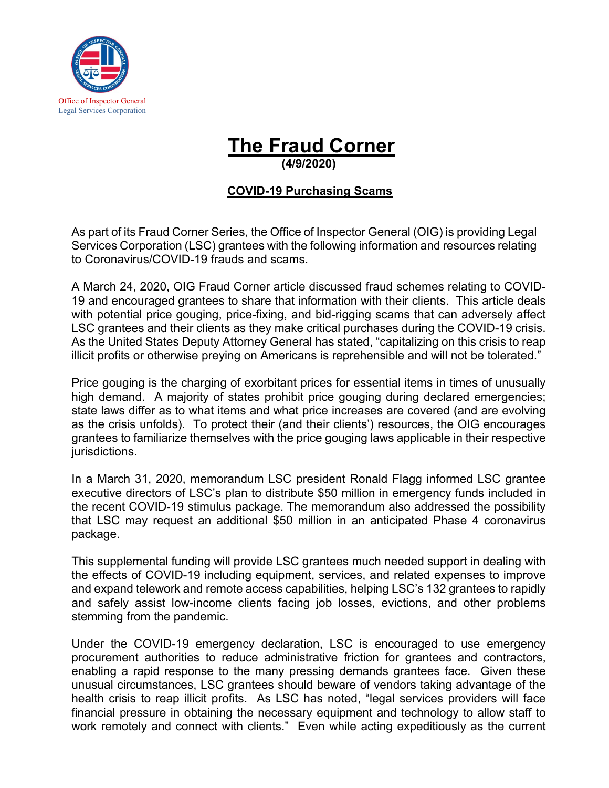

## **The Fraud Corner**

**(4/9/2020)** 

## **COVID-19 Purchasing Scams**

As part of its Fraud Corner Series, the Office of Inspector General (OIG) is providing Legal Services Corporation (LSC) grantees with the following information and resources relating to Coronavirus/COVID-19 frauds and scams.

A March 24, 2020, OIG Fraud Corner article discussed fraud schemes relating to COVID-19 and encouraged grantees to share that information with their clients. This article deals with potential price gouging, price-fixing, and bid-rigging scams that can adversely affect LSC grantees and their clients as they make critical purchases during the COVID-19 crisis. As the United States Deputy Attorney General has stated, "capitalizing on this crisis to reap illicit profits or otherwise preying on Americans is reprehensible and will not be tolerated."

Price gouging is the charging of exorbitant prices for essential items in times of unusually high demand. A majority of states prohibit price gouging during declared emergencies; state laws differ as to what items and what price increases are covered (and are evolving as the crisis unfolds). To protect their (and their clients') resources, the OIG encourages grantees to familiarize themselves with the price gouging laws applicable in their respective jurisdictions.

In a March 31, 2020, memorandum LSC president Ronald Flagg informed LSC grantee executive directors of LSC's plan to distribute \$50 million in emergency funds included in the recent COVID-19 stimulus package. The memorandum also addressed the possibility that LSC may request an additional \$50 million in an anticipated Phase 4 coronavirus package.

This supplemental funding will provide LSC grantees much needed support in dealing with the effects of COVID-19 including equipment, services, and related expenses to improve and expand telework and remote access capabilities, helping LSC's 132 grantees to rapidly and safely assist low-income clients facing job losses, evictions, and other problems stemming from the pandemic.

Under the COVID-19 emergency declaration, LSC is encouraged to use emergency procurement authorities to reduce administrative friction for grantees and contractors, enabling a rapid response to the many pressing demands grantees face. Given these unusual circumstances, LSC grantees should beware of vendors taking advantage of the health crisis to reap illicit profits. As LSC has noted, "legal services providers will face financial pressure in obtaining the necessary equipment and technology to allow staff to work remotely and connect with clients." Even while acting expeditiously as the current